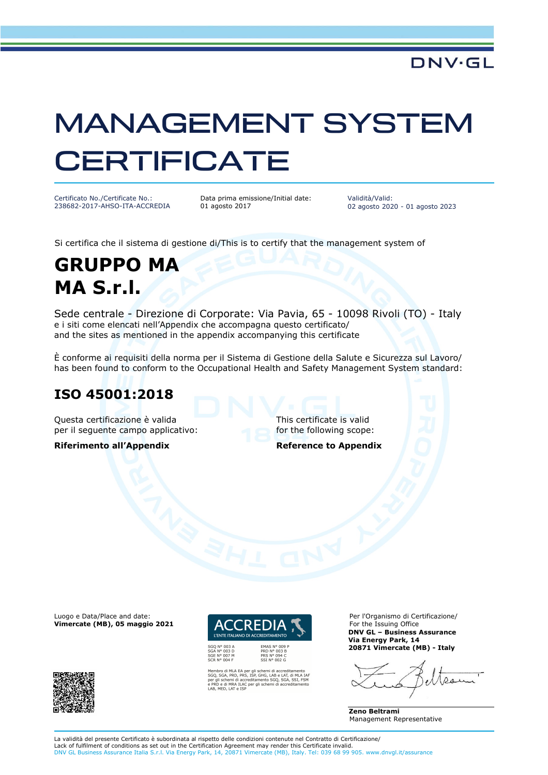# MANAGEMENT SYSTEM **CERTIFICATE**

Certificato No./Certificate No.: 238682-2017-AHSO-ITA-ACCREDIA Data prima emissione/Initial date: 01 agosto 2017

Validità/Valid: 02 agosto 2020 - 01 agosto 2023

Si certifica che il sistema di gestione di/This is to certify that the management system of

## **GRUPPO MA MA S.r.l.**

Sede centrale - Direzione di Corporate: Via Pavia, 65 - 10098 Rivoli (TO) - Italy e i siti come elencati nell'Appendix che accompagna questo certificato/ and the sites as mentioned in the appendix accompanying this certificate

È conforme ai requisiti della norma per il Sistema di Gestione della Salute e Sicurezza sul Lavoro/ has been found to conform to the Occupational Health and Safety Management System standard:

#### **ISO 45001:2018**

Questa certificazione è valida This certificate is valid per il sequente campo applicativo: for the following scope:

**Riferimento all'Appendix Reference to Appendix** 

Luogo e Data/Place and date: **Vimercate (MB), 05 maggio 2021**





SGQ N° 003 A<br>SGA N° 003 D<br>SGE N° 007 M<br>SCR N° 004 F

PRD N° 003 B<br>PRS N° 094 C<br>SSI N° 002 G

Membro di MLA EA per gli schemi di accreditamento<br>SGQ, SGA, PRD, PRS, ISP, GHG, LAB e LAT, di MLA IAF<br>per gli schemi di accreditamento SGQ, SGA, SSI, FSM<br>e PRD e di MRA ILAC per gli schemi di accreditamento<br>LAB, MED, LAT e

Per l'Organismo di Certificazione/ For the Issuing Office **DNV GL – Business Assurance Via Energy Park, 14 20871 Vimercate (MB) - Italy** 

عدے ا

**Zeno Beltrami**  Management Representative

La validità del presente Certificato è subordinata al rispetto delle condizioni contenute nel Contratto di Certificazione/ Lack of fulfilment of conditions as set out in the Certification Agreement may render this Certificate invalid.<br>DNV GL Business Assurance Italia S.r.l. Via Energy Park, 14, 20871 Vimercate (MB), Italy. Tel: 039 68 99 905.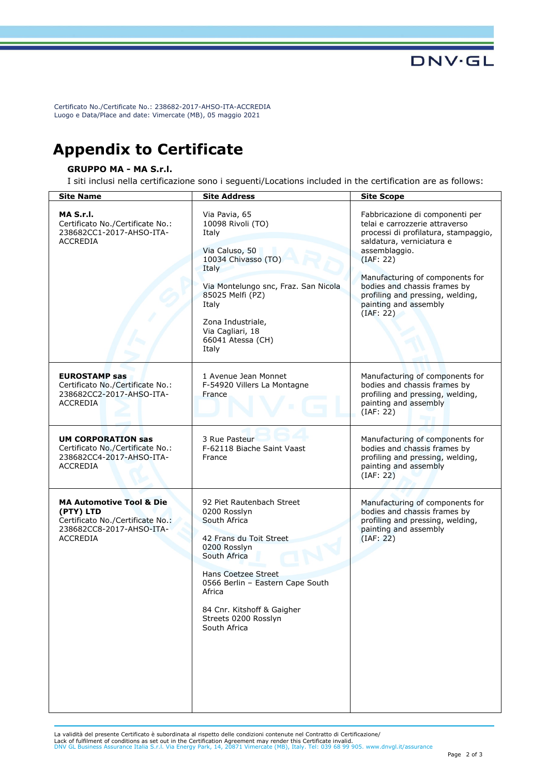Certificato No./Certificate No.: 238682-2017-AHSO-ITA-ACCREDIA Luogo e Data/Place and date: Vimercate (MB), 05 maggio 2021

### **Appendix to Certificate**

#### **GRUPPO MA - MA S.r.l.**

I siti inclusi nella certificazione sono i seguenti/Locations included in the certification are as follows:

| <b>Site Name</b>                                                                                                                    | <b>Site Address</b>                                                                                                                                                                                                                                                    | <b>Site Scope</b>                                                                                                                                                                                                                                                                                                 |
|-------------------------------------------------------------------------------------------------------------------------------------|------------------------------------------------------------------------------------------------------------------------------------------------------------------------------------------------------------------------------------------------------------------------|-------------------------------------------------------------------------------------------------------------------------------------------------------------------------------------------------------------------------------------------------------------------------------------------------------------------|
| MA S.r.I.<br>Certificato No./Certificate No.:<br>238682CC1-2017-AHSO-ITA-<br><b>ACCREDIA</b>                                        | Via Pavia, 65<br>10098 Rivoli (TO)<br>Italy<br>Via Caluso, 50<br>10034 Chivasso (TO)<br>Italy<br>Via Montelungo snc, Fraz. San Nicola<br>85025 Melfi (PZ)<br>Italy<br>Zona Industriale,<br>Via Cagliari, 18<br>66041 Atessa (CH)<br>Italy                              | Fabbricazione di componenti per<br>telai e carrozzerie attraverso<br>processi di profilatura, stampaggio,<br>saldatura, verniciatura e<br>assemblaggio.<br>(IAF: 22)<br>Manufacturing of components for<br>bodies and chassis frames by<br>profiling and pressing, welding,<br>painting and assembly<br>(IAF: 22) |
| <b>EUROSTAMP sas</b><br>Certificato No./Certificate No.:<br>238682CC2-2017-AHSO-ITA-<br><b>ACCREDIA</b>                             | 1 Avenue Jean Monnet<br>F-54920 Villers La Montagne<br>France                                                                                                                                                                                                          | Manufacturing of components for<br>bodies and chassis frames by<br>profiling and pressing, welding,<br>painting and assembly<br>(IAF: 22)                                                                                                                                                                         |
| <b>UM CORPORATION sas</b><br>Certificato No./Certificate No.:<br>238682CC4-2017-AHSO-ITA-<br><b>ACCREDIA</b>                        | 3 Rue Pasteur<br>F-62118 Biache Saint Vaast<br>France                                                                                                                                                                                                                  | Manufacturing of components for<br>bodies and chassis frames by<br>profiling and pressing, welding,<br>painting and assembly<br>(IAF: 22)                                                                                                                                                                         |
| <b>MA Automotive Tool &amp; Die</b><br>(PTY) LTD<br>Certificato No./Certificate No.:<br>238682CC8-2017-AHSO-ITA-<br><b>ACCREDIA</b> | 92 Piet Rautenbach Street<br>0200 Rosslyn<br>South Africa<br>42 Frans du Toit Street<br>0200 Rosslyn<br>South Africa<br><b>Hans Coetzee Street</b><br>0566 Berlin - Eastern Cape South<br>Africa<br>84 Cnr. Kitshoff & Gaigher<br>Streets 0200 Rosslyn<br>South Africa | Manufacturing of components for<br>bodies and chassis frames by<br>profiling and pressing, welding,<br>painting and assembly<br>(IAF: 22)                                                                                                                                                                         |

La validità del presente Certificato è subordinata al rispetto delle condizioni contenute nel Contratto di Certificazione/ Lack of fulfilment of conditions as set out in the Certification Agreement may render this Certificate invalid.<br>DNV GL Business Assurance Italia S.r.l. Via Energy Park, 14, 20871 Vimercate (MB), Italy. Tel: 039 68 99 905.

**DNV·GL**